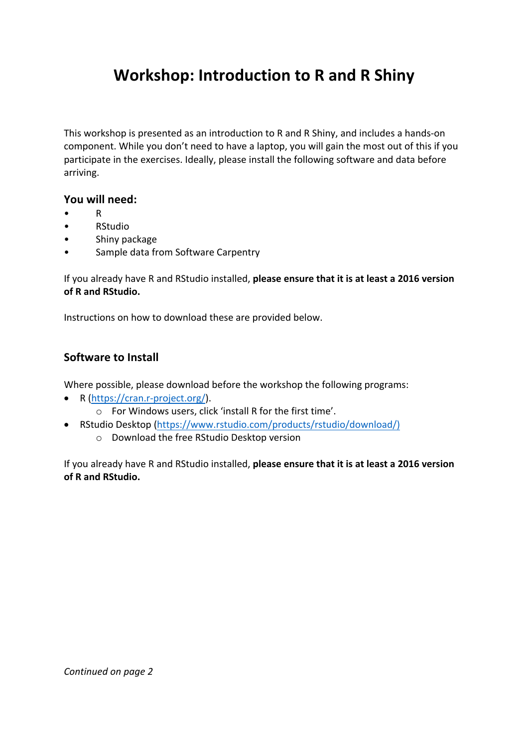# **Workshop: Introduction to R and R Shiny**

This workshop is presented as an introduction to R and R Shiny, and includes a hands-on component. While you don't need to have a laptop, you will gain the most out of this if you participate in the exercises. Ideally, please install the following software and data before arriving.

#### You will need:

- R
- RStudio
- Shiny package
- Sample data from Software Carpentry

If you already have R and RStudio installed, please ensure that it is at least a 2016 version of **R** and **RStudio**.

Instructions on how to download these are provided below.

### **Software to Install**

Where possible, please download before the workshop the following programs:

- R (https://cran.r-project.org/).
	- $\circ$  For Windows users, click 'install R for the first time'.
- RStudio Desktop (https://www.rstudio.com/products/rstudio/download/)
	- o Download the free RStudio Desktop version

If you already have R and RStudio installed, please ensure that it is at least a 2016 version of **R** and **RStudio**.